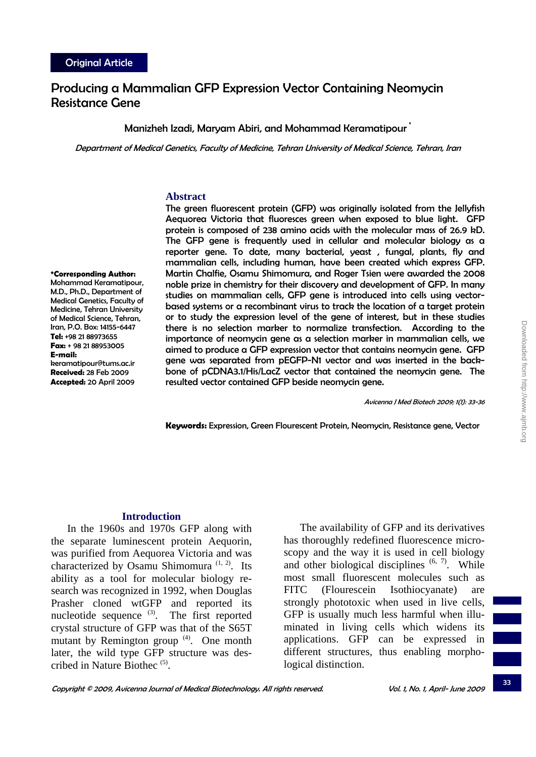**\*Corresponding Author:** Mohammad Keramatipour, M.D., Ph.D., Department of Medical Genetics, Faculty of Medicine, Tehran University of Medical Science, Tehran, Iran, P.O. Box: 14155-6447 **Tel:** +98 21 88973655 **Fax:** + 98 21 88953005

keramatipour@tums.ac.ir **Received:** 28 Feb 2009 **Accepted:** 20 April 2009

**E-mail:**

# Producing a Mammalian GFP Expression Vector Containing Neomycin Resistance Gene

### Manizheh Izadi, Maryam Abiri, and Mohammad Keramatipour

Department of Medical Genetics, Faculty of Medicine, Tehran University of Medical Science, Tehran, Iran

#### **Abstract**

The green fluorescent protein (GFP) was originally isolated from the Jellyfish Aequorea Victoria that fluoresces green when exposed to blue light. GFP protein is composed of 238 amino acids with the molecular mass of 26.9 kD. The GFP gene is frequently used in cellular and molecular biology as a reporter gene. To date, many bacterial, yeast , fungal, plants, fly and mammalian cells, including human, have been created which express GFP. Martin Chalfie, Osamu Shimomura, and Roger Tsien were awarded the 2008 noble prize in chemistry for their discovery and development of GFP. In many studies on mammalian cells, GFP gene is introduced into cells using vectorbased systems or a recombinant virus to track the location of a target protein or to study the expression level of the gene of interest, but in these studies there is no selection marker to normalize transfection. According to the importance of neomycin gene as a selection marker in mammalian cells, we aimed to produce a GFP expression vector that contains neomycin gene. GFP gene was separated from pEGFP-N1 vector and was inserted in the backbone of pCDNA3.1/His/LacZ vector that contained the neomycin gene. The resulted vector contained GFP beside neomycin gene.

Avicenna J Med Biotech 2009; 1(1): 33-36

**Keywords:** Expression, Green Flourescent Protein, Neomycin, Resistance gene, Vector

### **Introduction**

In the 1960s and 1970s GFP along with the separate luminescent protein Aequorin, was purified from Aequorea Victoria and was characterized by Osamu Shimomura  $(1, 2)$ . Its ability as a tool for molecular biology research was recognized in 1992, when Douglas Prasher cloned wtGFP and reported its nucleotide sequence  $(3)$ . The first reported crystal structure of GFP was that of the S65T mutant by Remington group  $(4)$ . One month later, the wild type GFP structure was described in Nature Biothec (5).

The availability of GFP and its derivatives has thoroughly redefined fluorescence microscopy and the way it is used in cell biology and other biological disciplines  $(6, 7)$ . While most small fluorescent molecules such as FITC (Flourescein Isothiocyanate) are strongly phototoxic when used in live cells, GFP is usually much less harmful when illuminated in living cells which widens its applications. GFP can be expressed in different structures, thus enabling morphological distinction.

33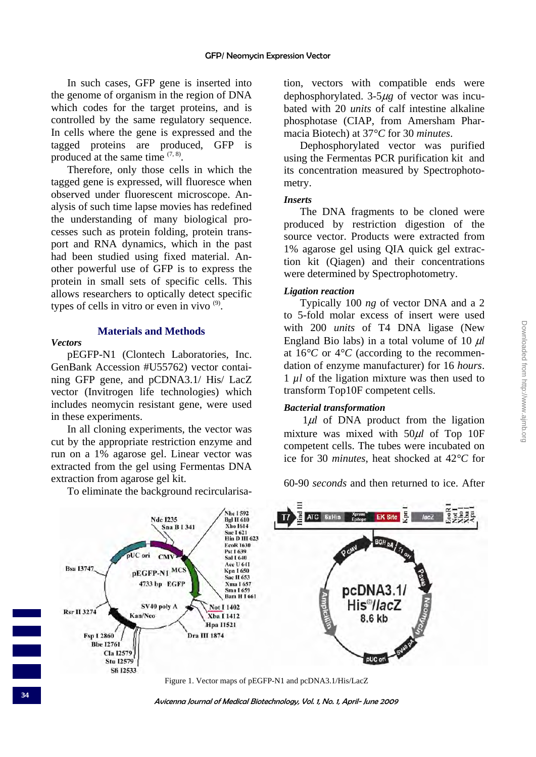In such cases, GFP gene is inserted into the genome of organism in the region of DNA which codes for the target proteins, and is controlled by the same regulatory sequence. In cells where the gene is expressed and the tagged proteins are produced, GFP is produced at the same time  $(7, 8)$ .

Therefore, only those cells in which the tagged gene is expressed, will fluoresce when observed under fluorescent microscope. Analysis of such time lapse movies has redefined the understanding of many biological processes such as protein folding, protein transport and RNA dynamics, which in the past had been studied using fixed material. Another powerful use of GFP is to express the protein in small sets of specific cells. This allows researchers to optically detect specific types of cells in vitro or even in vivo  $(9)$ .

# **Materials and Methods**

### *Vectors*

pEGFP-N1 (Clontech Laboratories, Inc. GenBank Accession #U55762) vector containing GFP gene, and pCDNA3.1/ His/ LacZ vector (Invitrogen life technologies) which includes neomycin resistant gene, were used in these experiments.

In all cloning experiments, the vector was cut by the appropriate restriction enzyme and run on a 1% agarose gel. Linear vector was extracted from the gel using Fermentas DNA extraction from agarose gel kit.

To eliminate the background recircularisa-

tion, vectors with compatible ends were dephosphorylated. 3-5μ*g* of vector was incubated with 20 *units* of calf intestine alkaline phosphotase (CIAP, from Amersham Pharmacia Biotech) at 37*°C* for 30 *minutes*.

Dephosphorylated vector was purified using the Fermentas PCR purification kit and its concentration measured by Spectrophotometry.

# *Inserts*

The DNA fragments to be cloned were produced by restriction digestion of the source vector. Products were extracted from 1% agarose gel using QIA quick gel extraction kit (Qiagen) and their concentrations were determined by Spectrophotometry.

# *Ligation reaction*

Typically 100 *ng* of vector DNA and a 2 to 5-fold molar excess of insert were used with 200 *units* of T4 DNA ligase (New England Bio labs) in a total volume of 10 μ*l* at  $16^{\circ}$ C or  $4^{\circ}$ C (according to the recommendation of enzyme manufacturer) for 16 *hours*. 1 *µl* of the ligation mixture was then used to transform Top10F competent cells.

# *Bacterial transformation*

1μ*l* of DNA product from the ligation mixture was mixed with 50μ*l* of Top 10F competent cells. The tubes were incubated on ice for 30 *minutes*, heat shocked at 42*°C* for

60-90 *seconds* and then returned to ice. After



Figure 1. Vector maps of pEGFP-N1 and pcDNA3.1/His/LacZ

Avicenna Journal of Medical Biotechnology, Vol. 1, No. 1, April- June 2009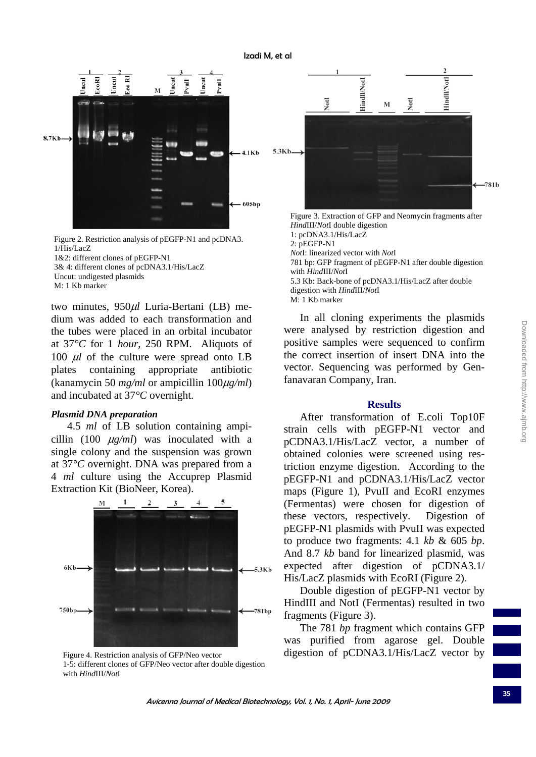

Figure 2. Restriction analysis of pEGFP-N1 and pcDNA3. 1/His/LacZ 1&2: different clones of pEGFP-N1

3& 4: different clones of pcDNA3.1/His/LacZ Uncut: undigested plasmids M: 1 Kb marker

two minutes, 950μ*l* Luria-Bertani (LB) medium was added to each transformation and the tubes were placed in an orbital incubator at 37*°C* for 1 *hour*, 250 RPM. Aliquots of 100 μ*l* of the culture were spread onto LB plates containing appropriate antibiotic (kanamycin 50 *mg/ml* or ampicillin 100μ*g/ml*) and incubated at 37*°C* overnight.

#### *Plasmid DNA preparation*

4.5 *ml* of LB solution containing ampicillin (100 μ*g/ml*) was inoculated with a single colony and the suspension was grown at 37*°C* overnight. DNA was prepared from a 4 *ml* culture using the Accuprep Plasmid Extraction Kit (BioNeer, Korea).



Figure 4. Restriction analysis of GFP/Neo vector 1-5: different clones of GFP/Neo vector after double digestion with *Hind*III/*Not*I



*Hind*III/*Not*I double digestion 1: pcDNA3.1/His/LacZ 2: pEGFP-N1 *Not*I: linearized vector with *Not*I 781 bp: GFP fragment of pEGFP-N1 after double digestion with *Hind*III/*Not*I 5.3 Kb: Back-bone of pcDNA3.1/His/LacZ after double digestion with *Hind*III/*Not*I M: 1 Kb marker

In all cloning experiments the plasmids were analysed by restriction digestion and positive samples were sequenced to confirm the correct insertion of insert DNA into the vector. Sequencing was performed by Genfanavaran Company, Iran.

### **Results**

After transformation of E.coli Top10F strain cells with pEGFP-N1 vector and pCDNA3.1/His/LacZ vector, a number of obtained colonies were screened using restriction enzyme digestion. According to the pEGFP-N1 and pCDNA3.1/His/LacZ vector maps (Figure 1), PvuII and EcoRI enzymes (Fermentas) were chosen for digestion of these vectors, respectively. Digestion of pEGFP-N1 plasmids with PvuII was expected to produce two fragments: 4.1 *kb* & 605 *bp*. And 8.7 *kb* band for linearized plasmid, was expected after digestion of pCDNA3.1/ His/LacZ plasmids with EcoRI (Figure 2).

Double digestion of pEGFP-N1 vector by HindIII and NotI (Fermentas) resulted in two fragments (Figure 3).

The 781 *bp* fragment which contains GFP was purified from agarose gel. Double digestion of pCDNA3.1/His/LacZ vector by